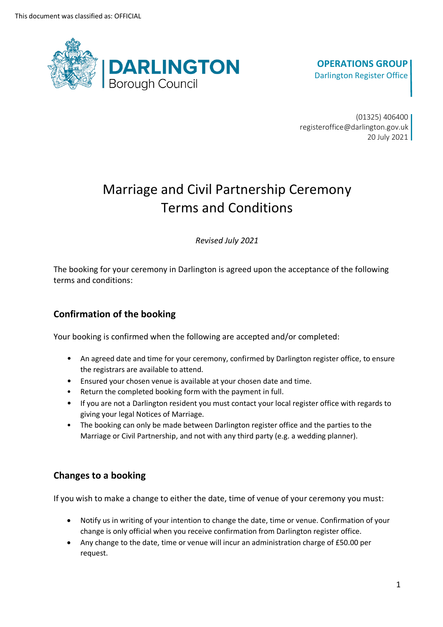

# **OPERATIONS GROUP** Darlington Register Office

(01325) 406400 registeroffice@darlington.gov.uk 20 July 2021

# Marriage and Civil Partnership Ceremony Terms and Conditions

*Revised July 2021*

The booking for your ceremony in Darlington is agreed upon the acceptance of the following terms and conditions:

# **Confirmation of the booking**

Your booking is confirmed when the following are accepted and/or completed:

- An agreed date and time for your ceremony, confirmed by Darlington register office, to ensure the registrars are available to attend.
- Ensured your chosen venue is available at your chosen date and time.
- Return the completed booking form with the payment in full.
- If you are not a Darlington resident you must contact your local register office with regards to giving your legal Notices of Marriage.
- The booking can only be made between Darlington register office and the parties to the Marriage or Civil Partnership, and not with any third party (e.g. a wedding planner).

# **Changes to a booking**

If you wish to make a change to either the date, time of venue of your ceremony you must:

- Notify us in writing of your intention to change the date, time or venue. Confirmation of your change is only official when you receive confirmation from Darlington register office.
- Any change to the date, time or venue will incur an administration charge of £50.00 per request.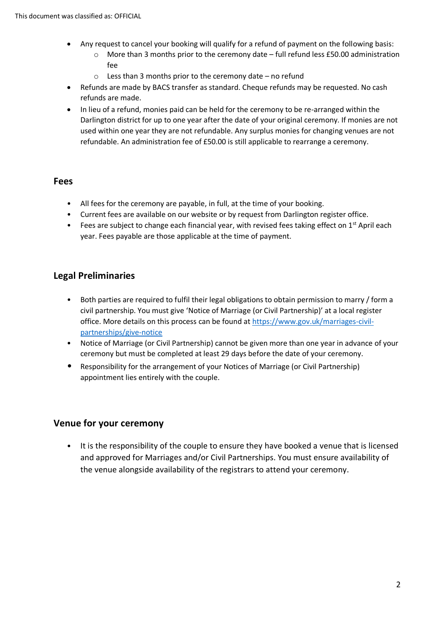- Any request to cancel your booking will qualify for a refund of payment on the following basis:
	- $\circ$  More than 3 months prior to the ceremony date full refund less £50.00 administration fee
	- o Less than 3 months prior to the ceremony date no refund
- Refunds are made by BACS transfer as standard. Cheque refunds may be requested. No cash refunds are made.
- In lieu of a refund, monies paid can be held for the ceremony to be re-arranged within the Darlington district for up to one year after the date of your original ceremony. If monies are not used within one year they are not refundable. Any surplus monies for changing venues are not refundable. An administration fee of £50.00 is still applicable to rearrange a ceremony.

#### **Fees**

- All fees for the ceremony are payable, in full, at the time of your booking.
- Current fees are available on our website or by request from Darlington register office.
- Fees are subject to change each financial year, with revised fees taking effect on  $1^{st}$  April each year. Fees payable are those applicable at the time of payment.

## **Legal Preliminaries**

- Both parties are required to fulfil their legal obligations to obtain permission to marry / form a civil partnership. You must give 'Notice of Marriage (or Civil Partnership)' at a local register office. More details on this process can be found at [https://www.gov.uk/marriages-civil](https://www.gov.uk/marriages-civil-partnerships/give-notice)[partnerships/give-notice](https://www.gov.uk/marriages-civil-partnerships/give-notice)
- Notice of Marriage (or Civil Partnership) cannot be given more than one year in advance of your ceremony but must be completed at least 29 days before the date of your ceremony.
- Responsibility for the arrangement of your Notices of Marriage (or Civil Partnership) appointment lies entirely with the couple.

## **Venue for your ceremony**

• It is the responsibility of the couple to ensure they have booked a venue that is licensed and approved for Marriages and/or Civil Partnerships. You must ensure availability of the venue alongside availability of the registrars to attend your ceremony.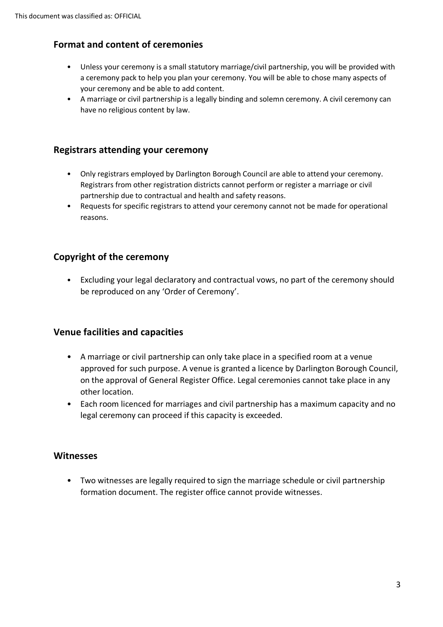# **Format and content of ceremonies**

- Unless your ceremony is a small statutory marriage/civil partnership, you will be provided with a ceremony pack to help you plan your ceremony. You will be able to chose many aspects of your ceremony and be able to add content.
- A marriage or civil partnership is a legally binding and solemn ceremony. A civil ceremony can have no religious content by law.

## **Registrars attending your ceremony**

- Only registrars employed by Darlington Borough Council are able to attend your ceremony. Registrars from other registration districts cannot perform or register a marriage or civil partnership due to contractual and health and safety reasons.
- Requests for specific registrars to attend your ceremony cannot not be made for operational reasons.

# **Copyright of the ceremony**

• Excluding your legal declaratory and contractual vows, no part of the ceremony should be reproduced on any 'Order of Ceremony'.

## **Venue facilities and capacities**

- A marriage or civil partnership can only take place in a specified room at a venue approved for such purpose. A venue is granted a licence by Darlington Borough Council, on the approval of General Register Office. Legal ceremonies cannot take place in any other location.
- Each room licenced for marriages and civil partnership has a maximum capacity and no legal ceremony can proceed if this capacity is exceeded.

#### **Witnesses**

• Two witnesses are legally required to sign the marriage schedule or civil partnership formation document. The register office cannot provide witnesses.